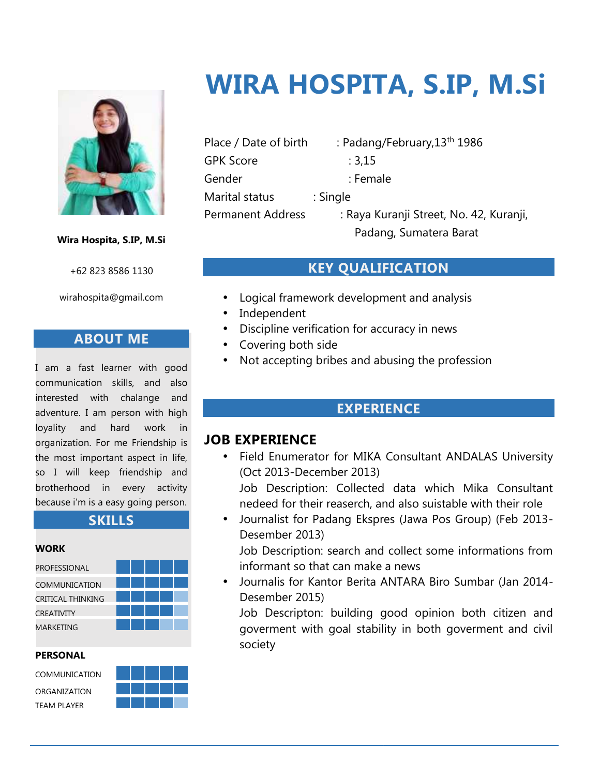

#### **Wira Hospita, S.IP, M.Si**

+62 823 8586 1130

wirahospita@gmail.com

#### **ABOUT ME**

I am a fast learner with good communication skills, and also interested with chalange and adventure. I am person with high loyality and hard work in organization. For me Friendship is the most important aspect in life, so I will keep friendship and brotherhood in every activity because i'm is a easy going person.



#### **PERSONAL**



# **WIRA HOSPITA, S.IP, M.Si**

Place / Date of birth : Padang/February, 13<sup>th</sup> 1986 GPK Score : 3,15 Gender : Female Marital status : Single

Permanent Address : Raya Kuranji Street, No. 42, Kuranji, Padang, Sumatera Barat

# **KEY QUALIFICATION**

- Logical framework development and analysis
- Independent
- Discipline verification for accuracy in news
- Covering both side
- Not accepting bribes and abusing the profession

## **EXPERIENCE**

## **JOB EXPERIENCE**

- Field Enumerator for MIKA Consultant ANDALAS University (Oct 2013-December 2013) Job Description: Collected data which Mika Consultant nedeed for their reaserch, and also suistable with their role
- Journalist for Padang Ekspres (Jawa Pos Group) (Feb 2013- Desember 2013)

Job Description: search and collect some informations from informant so that can make a news

 Journalis for Kantor Berita ANTARA Biro Sumbar (Jan 2014- Desember 2015)

Job Descripton: building good opinion both citizen and goverment with goal stability in both goverment and civil society